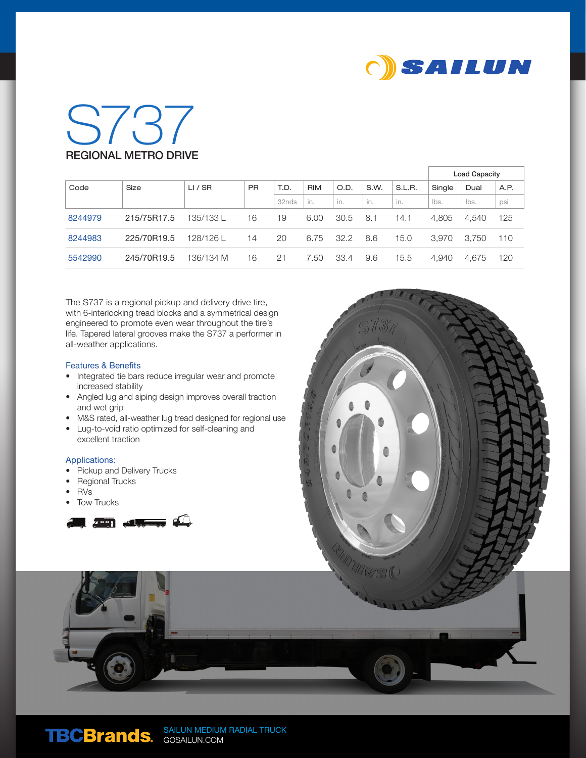

## S737 REGIONAL METRO DRIVE

|         |             |           |           |       |            |      |      |        | <b>Load Capacity</b> |       |      |
|---------|-------------|-----------|-----------|-------|------------|------|------|--------|----------------------|-------|------|
| Code    | Size        | LI / SR   | <b>PR</b> | T.D.  | <b>RIM</b> | O.D. | S.W. | S.L.R. | Single               | Dual  | A.P. |
|         |             |           |           | 32nds | in.        | in.  | in.  | in.    | lbs.                 | lbs.  | psi  |
| 8244979 | 215/75R17.5 | 135/133 L | 16        | 19    | 6.00       | 30.5 | 8.1  | 14.1   | 4.805                | 4.540 | 125  |
| 8244983 | 225/70R19.5 | 128/126L  | 14        | 20    | 6.75       | 32.2 | 8.6  | 15.0   | 3.970                | 3.750 | 110  |
| 5542990 | 245/70R19.5 | 136/134 M | 16        | 21    | 7.50       | 33.4 | 9.6  | 15.5   | 4.940                | 4.675 | 120  |

The S737 is a regional pickup and delivery drive tire, with 6-interlocking tread blocks and a symmetrical design engineered to promote even wear throughout the tire's life. Tapered lateral grooves make the S737 a performer in all-weather applications.

## Features & Benefits

- Integrated tie bars reduce irregular wear and promote increased stability
- Angled lug and siping design improves overall traction and wet grip
- M&S rated, all-weather lug tread designed for regional use
- Lug-to-void ratio optimized for self-cleaning and excellent traction

## Applications:

- Pickup and Delivery Trucks
- Regional Trucks
- RVs
- **Tow Trucks**